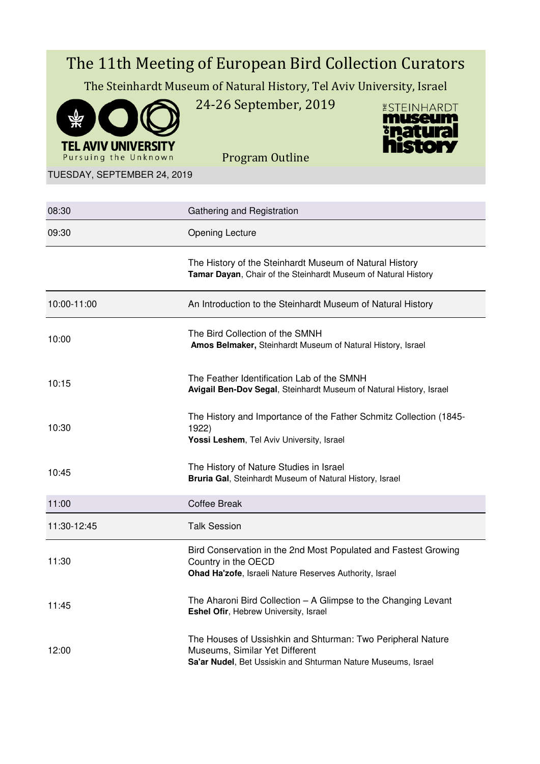# The 11th Meeting of European Bird Collection Curators The Steinhardt Museum of Natural History, Tel Aviv University, Israel 24-26 September, 2019 *ESTEINHARDT* museum



Program Outline



TUESDAY, SEPTEMBER 24, 2019

| 08:30       | Gathering and Registration                                                                                                                                     |
|-------------|----------------------------------------------------------------------------------------------------------------------------------------------------------------|
| 09:30       | <b>Opening Lecture</b>                                                                                                                                         |
|             | The History of the Steinhardt Museum of Natural History<br>Tamar Dayan, Chair of the Steinhardt Museum of Natural History                                      |
| 10:00-11:00 | An Introduction to the Steinhardt Museum of Natural History                                                                                                    |
| 10:00       | The Bird Collection of the SMNH<br>Amos Belmaker, Steinhardt Museum of Natural History, Israel                                                                 |
| 10:15       | The Feather Identification Lab of the SMNH<br>Avigail Ben-Dov Segal, Steinhardt Museum of Natural History, Israel                                              |
| 10:30       | The History and Importance of the Father Schmitz Collection (1845-<br>1922)<br>Yossi Leshem, Tel Aviv University, Israel                                       |
| 10:45       | The History of Nature Studies in Israel<br>Bruria Gal, Steinhardt Museum of Natural History, Israel                                                            |
| 11:00       | <b>Coffee Break</b>                                                                                                                                            |
| 11:30-12:45 | <b>Talk Session</b>                                                                                                                                            |
| 11:30       | Bird Conservation in the 2nd Most Populated and Fastest Growing<br>Country in the OECD<br>Ohad Ha'zofe, Israeli Nature Reserves Authority, Israel              |
| 11:45       | The Aharoni Bird Collection - A Glimpse to the Changing Levant<br>Eshel Ofir, Hebrew University, Israel                                                        |
| 12:00       | The Houses of Ussishkin and Shturman: Two Peripheral Nature<br>Museums, Similar Yet Different<br>Sa'ar Nudel, Bet Ussiskin and Shturman Nature Museums, Israel |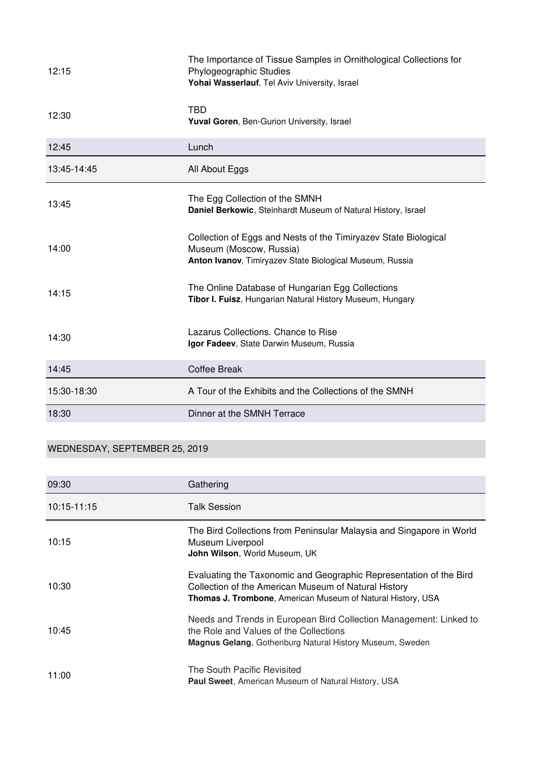| 12:15       | The Importance of Tissue Samples in Ornithological Collections for<br>Phylogeographic Studies<br>Yohai Wasserlauf, Tel Aviv University, Israel         |
|-------------|--------------------------------------------------------------------------------------------------------------------------------------------------------|
| 12:30       | <b>TBD</b><br>Yuval Goren, Ben-Gurion University, Israel                                                                                               |
| 12:45       | Lunch                                                                                                                                                  |
| 13:45-14:45 | All About Eggs                                                                                                                                         |
| 13:45       | The Egg Collection of the SMNH<br>Daniel Berkowic, Steinhardt Museum of Natural History, Israel                                                        |
| 14:00       | Collection of Eggs and Nests of the Timiryazev State Biological<br>Museum (Moscow, Russia)<br>Anton Ivanov, Timiryazev State Biological Museum, Russia |
| 14:15       | The Online Database of Hungarian Egg Collections<br>Tibor I. Fuisz, Hungarian Natural History Museum, Hungary                                          |
| 14:30       | Lazarus Collections. Chance to Rise<br>Igor Fadeev, State Darwin Museum, Russia                                                                        |
| 14:45       | <b>Coffee Break</b>                                                                                                                                    |
| 15:30-18:30 | A Tour of the Exhibits and the Collections of the SMNH                                                                                                 |
| 18:30       | Dinner at the SMNH Terrace                                                                                                                             |

## WEDNESDAY, SEPTEMBER 25, 2019

| 09:30       | Gathering                                                                                                                                                                                        |
|-------------|--------------------------------------------------------------------------------------------------------------------------------------------------------------------------------------------------|
| 10:15-11:15 | Talk Session                                                                                                                                                                                     |
| 10:15       | The Bird Collections from Peninsular Malaysia and Singapore in World<br>Museum Liverpool<br>John Wilson, World Museum, UK                                                                        |
| 10:30       | Evaluating the Taxonomic and Geographic Representation of the Bird<br>Collection of the American Museum of Natural History<br><b>Thomas J. Trombone, American Museum of Natural History, USA</b> |
| 10:45       | Needs and Trends in European Bird Collection Management: Linked to<br>the Role and Values of the Collections<br><b>Magnus Gelang, Gothenburg Natural History Museum, Sweden</b>                  |
| 11:00       | The South Pacific Revisited<br><b>Paul Sweet, American Museum of Natural History, USA</b>                                                                                                        |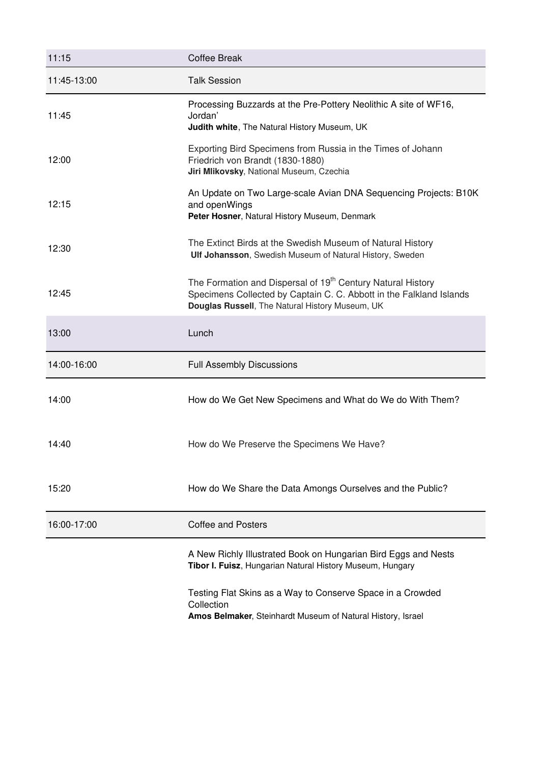| 11:15       | <b>Coffee Break</b>                                                                                                                                                                                                                                                                                                                                                                                              |  |
|-------------|------------------------------------------------------------------------------------------------------------------------------------------------------------------------------------------------------------------------------------------------------------------------------------------------------------------------------------------------------------------------------------------------------------------|--|
| 11:45-13:00 | <b>Talk Session</b>                                                                                                                                                                                                                                                                                                                                                                                              |  |
| 11:45       | Processing Buzzards at the Pre-Pottery Neolithic A site of WF16,<br>Jordan'<br>Judith white, The Natural History Museum, UK<br>Exporting Bird Specimens from Russia in the Times of Johann<br>Friedrich von Brandt (1830-1880)<br>Jiri Mlikovsky, National Museum, Czechia<br>An Update on Two Large-scale Avian DNA Sequencing Projects: B10K<br>and openWings<br>Peter Hosner, Natural History Museum, Denmark |  |
| 12:00       |                                                                                                                                                                                                                                                                                                                                                                                                                  |  |
| 12:15       |                                                                                                                                                                                                                                                                                                                                                                                                                  |  |
| 12:30       | The Extinct Birds at the Swedish Museum of Natural History<br>Ulf Johansson, Swedish Museum of Natural History, Sweden                                                                                                                                                                                                                                                                                           |  |
| 12:45       | The Formation and Dispersal of 19 <sup>th</sup> Century Natural History<br>Specimens Collected by Captain C. C. Abbott in the Falkland Islands<br>Douglas Russell, The Natural History Museum, UK                                                                                                                                                                                                                |  |
| 13:00       | Lunch                                                                                                                                                                                                                                                                                                                                                                                                            |  |
| 14:00-16:00 | <b>Full Assembly Discussions</b>                                                                                                                                                                                                                                                                                                                                                                                 |  |
| 14:00       | How do We Get New Specimens and What do We do With Them?                                                                                                                                                                                                                                                                                                                                                         |  |
| 14:40       | How do We Preserve the Specimens We Have?                                                                                                                                                                                                                                                                                                                                                                        |  |
| 15:20       | How do We Share the Data Amongs Ourselves and the Public?                                                                                                                                                                                                                                                                                                                                                        |  |
| 16:00-17:00 | <b>Coffee and Posters</b>                                                                                                                                                                                                                                                                                                                                                                                        |  |
|             | A New Richly Illustrated Book on Hungarian Bird Eggs and Nests<br>Tibor I. Fuisz, Hungarian Natural History Museum, Hungary                                                                                                                                                                                                                                                                                      |  |
|             | Testing Flat Skins as a Way to Conserve Space in a Crowded<br>Collection<br>Amos Belmaker, Steinhardt Museum of Natural History, Israel                                                                                                                                                                                                                                                                          |  |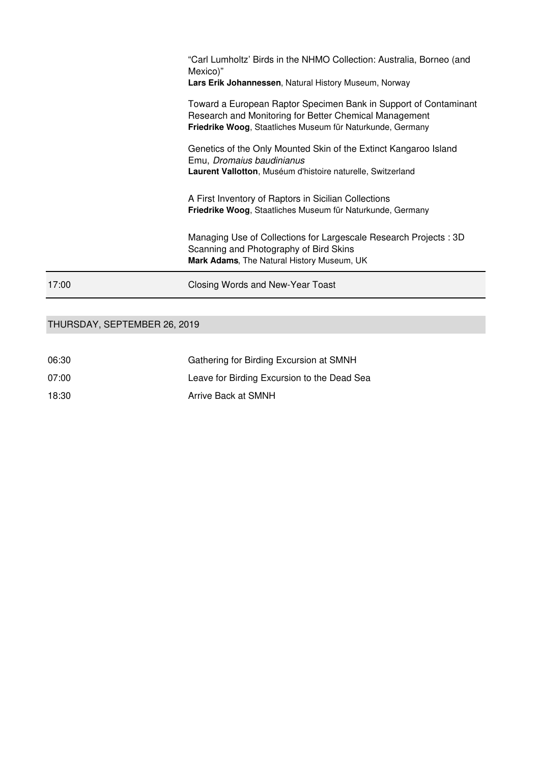|       | Friedrike Woog, Staatliches Museum für Naturkunde, Germany<br>Genetics of the Only Mounted Skin of the Extinct Kangaroo Island<br>Emu, Dromaius baudinianus<br>Laurent Vallotton, Muséum d'histoire naturelle, Switzerland<br>A First Inventory of Raptors in Sicilian Collections<br><b>Friedrike Woog, Staatliches Museum für Naturkunde, Germany</b> |
|-------|---------------------------------------------------------------------------------------------------------------------------------------------------------------------------------------------------------------------------------------------------------------------------------------------------------------------------------------------------------|
|       | Managing Use of Collections for Largescale Research Projects: 3D<br>Scanning and Photography of Bird Skins<br>Mark Adams, The Natural History Museum, UK                                                                                                                                                                                                |
| 17:00 | Closing Words and New-Year Toast                                                                                                                                                                                                                                                                                                                        |

### THURSDAY, SEPTEMBER 26, 2019

| 06:30 | Gathering for Birding Excursion at SMNH     |
|-------|---------------------------------------------|
| 07:00 | Leave for Birding Excursion to the Dead Sea |
| 18:30 | Arrive Back at SMNH                         |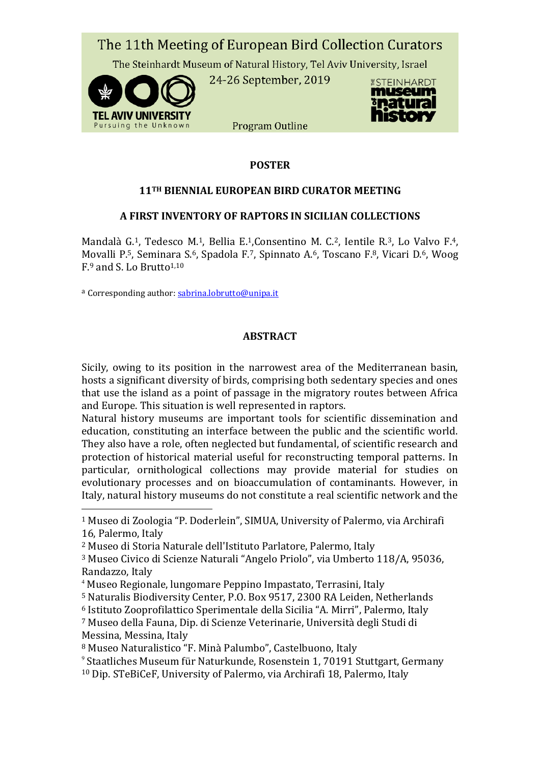

#### **POSTER**

#### **11TH BIENNIAL EUROPEAN BIRD CURATOR MEETING**

#### **A FIRST INVENTORY OF RAPTORS IN SICILIAN COLLECTIONS**

Mandalà G.1, Tedesco M.1, Bellia E.1,Consentino M. C.2, Ientile R.3, Lo Valvo F.4, Movalli P.5, Seminara S.6, Spadola F.7, Spinnato A.6, Toscano F.8, Vicari D.6, Woog  $F<sup>9</sup>$  and S. Lo Brutto<sup>1,10</sup>

a Corresponding author: [sabrina.lobrutto@unipa.it](mailto:sabrina.lobrutto@unipa.it)

 $\overline{a}$ 

#### **ABSTRACT**

Sicily, owing to its position in the narrowest area of the Mediterranean basin, hosts a significant diversity of birds, comprising both sedentary species and ones that use the island as a point of passage in the migratory routes between Africa and Europe. This situation is well represented in raptors.

Natural history museums are important tools for scientific dissemination and education, constituting an interface between the public and the scientific world. They also have a role, often neglected but fundamental, of scientific research and protection of historical material useful for reconstructing temporal patterns. In particular, ornithological collections may provide material for studies on evolutionary processes and on bioaccumulation of contaminants. However, in Italy, natural history museums do not constitute a real scientific network and the

<sup>1</sup> Museo di Zoologia "P. Doderlein", SIMUA, University of Palermo, via Archirafi 16, Palermo, Italy

- <sup>4</sup> Museo Regionale, lungomare Peppino Impastato, Terrasini, Italy
- <sup>5</sup> Naturalis Biodiversity Center, P.O. Box 9517, 2300 RA Leiden, Netherlands
- <sup>6</sup> Istituto Zooprofilattico Sperimentale della Sicilia "A. Mirri", Palermo, Italy
- <sup>7</sup> Museo della Fauna, Dip. di Scienze Veterinarie, Università degli Studi di Messina, Messina, Italy
- <sup>8</sup> Museo Naturalistico "F. Minà Palumbo", Castelbuono, Italy
- 9 Staatliches Museum für Naturkunde, Rosenstein 1, 70191 Stuttgart, Germany
- 10 Dip. STeBiCeF, University of Palermo, via Archirafi 18, Palermo, Italy

<sup>2</sup> Museo di Storia Naturale dell'Istituto Parlatore, Palermo, Italy

<sup>3</sup> Museo Civico di Scienze Naturali "Angelo Priolo", via Umberto 118/A, 95036, Randazzo, Italy